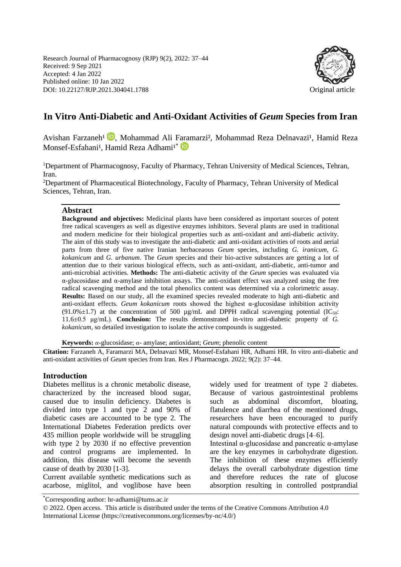Research Journal of Pharmacognosy (RJP) 9(2), 2022: 37–44 Received: 9 Sep 2021 Accepted: 4 Jan 2022 Published online: 10 Jan 2022 DOI: 10.22127/RJP.2021.304041.1788 Original article



# **In Vitro Anti-Diabetic and Anti-Oxidant Activities of** *Geum* **Species from Iran**

Avishan Farzaneh<sup>1</sup> **D**[,](https://orcid.org/0000-0001-5324-5368) Mohammad Ali F[ara](https://orcid.org/0000-0003-4914-047X)marzi<sup>2</sup>, Mohammad Reza Delnavazi<sup>1</sup>, Hamid Reza Monsef-Esfahani<sup>1</sup>, Hamid Reza Adhami<sup>1\*</sup>

<sup>1</sup>Department of Pharmacognosy, Faculty of Pharmacy, Tehran University of Medical Sciences, Tehran, Iran.

<sup>2</sup>Department of Pharmaceutical Biotechnology, Faculty of Pharmacy, Tehran University of Medical Sciences, Tehran, Iran.

#### **Abstract**

**Background and objectives:** Medicinal plants have been considered as important sources of potent free radical scavengers as well as digestive enzymes inhibitors. Several plants are used in traditional and modern medicine for their biological properties such as anti-oxidant and anti-diabetic activity. The aim of this study was to investigate the anti-diabetic and anti-oxidant activities of roots and aerial parts from three of five native Iranian herbaceaous *Geum* species, including *G. iranicum*, *G. kokanicum* and *G. urbanum*. The *Geum* species and their bio-active substances are getting a lot of attention due to their various biological effects, such as anti-oxidant, anti-diabetic, anti-tumor and anti-microbial activities. **Methods:** The anti-diabetic activity of the *Geum* species was evaluated via α-glucosidase and α-amylase inhibition assays. The anti-oxidant effect was analyzed using the free radical scavenging method and the total phenolics content was determined via a colorimetric assay. **Results:** Based on our study, all the examined species revealed moderate to high anti-diabetic and anti-oxidant effects. *Geum kokanicum* roots showed the highest α-glucosidase inhibition activity (91.0% $\pm$ 1.7) at the concentration of 500 µg/mL and DPPH radical scavenging potential (IC<sub>50</sub>: 11.6±0.5 μg/mL). **Conclusion:** The results demonstrated in-vitro anti-diabetic property of *G. kokanicum*, so detailed investigation to isolate the active compounds is suggested.

**Keywords:** *α*-glucosidase; *α-* amylase; antioxidant; *Geum*; phenolic content

**Citation:** Farzaneh A, Faramarzi MA, Delnavazi MR, Monsef-Esfahani HR, Adhami HR. In vitro anti-diabetic and anti-oxidant activities of *Geum* species from Iran. Res J Pharmacogn. 2022; 9(2): 37–44.

## **Introduction**

Diabetes mellitus is a chronic metabolic disease, characterized by the increased blood sugar, caused due to insulin deficiency. Diabetes is divided into type 1 and type 2 and 90% of diabetic cases are accounted to be type 2. The International Diabetes Federation predicts over 435 million people worldwide will be struggling with type 2 by 2030 if no effective prevention and control programs are implemented. In addition, this disease will become the seventh cause of death by 2030 [1-3].

Current available synthetic medications such as acarbose, miglitol, and voglibose have been widely used for treatment of type 2 diabetes. Because of various gastrointestinal problems such as abdominal discomfort, bloating, flatulence and diarrhea of the mentioned drugs, researchers have been encouraged to purify natural compounds with protective effects and to design novel anti-diabetic drugs [4–6].

Intestinal α-glucosidase and pancreatic α-amylase are the key enzymes in carbohydrate digestion. The inhibition of these enzymes efficiently delays the overall carbohydrate digestion time and therefore reduces the rate of glucose absorption resulting in controlled postprandial

<sup>\*</sup>Corresponding author: hr-adhami@tums.ac.ir

<sup>© 2022.</sup> Open access. This article is distributed under the terms of the Creative Commons Attribution 4.0 International License (https://creativecommons.org/licenses/by-nc/4.0/)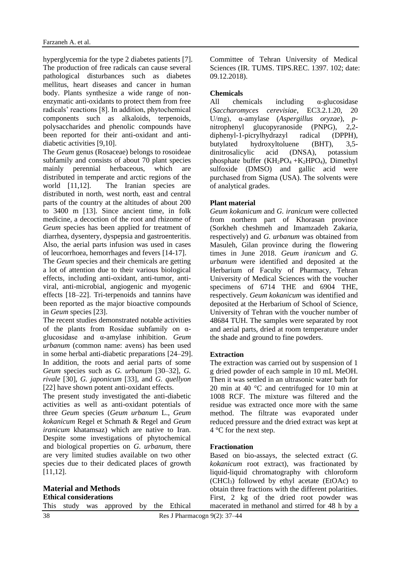hyperglycemia for the type 2 diabetes patients [7]. The production of free radicals can cause several pathological disturbances such as diabetes mellitus, heart diseases and cancer in human body. Plants synthesize a wide range of nonenzymatic anti-oxidants to protect them from free radicals' reactions [8]. In addition, phytochemical components such as alkaloids, terpenoids, polysaccharides and phenolic compounds have been reported for their anti-oxidant and antidiabetic activities [9,10].

The *Geum* genus (Rosaceae) belongs to rosoideae subfamily and consists of about 70 plant species mainly perennial herbaceous, which are distributed in temperate and arctic regions of the world [11,12]. The Iranian species are distributed in north, west north, east and central parts of the country at the altitudes of about 200 to 3400 m [13]. Since ancient time, in folk medicine, a decoction of the root and rhizome of *Geum* species has been applied for treatment of diarrhea, dysentery, dyspepsia and gastroenteritis. Also, the aerial parts infusion was used in cases of leucorrhoea, hemorrhages and fevers [14-17].

The *Geum* species and their chemicals are getting a lot of attention due to their various biological effects, including anti-oxidant, anti-tumor, antiviral, anti-microbial, angiogenic and myogenic effects [18–22]. Tri-terpenoids and tannins have been reported as the major bioactive compounds in *Geum* species [23].

The recent studies demonstrated notable activities of the plants from Rosidae subfamily on αglucosidase and α-amylase inhibition. *Geum urbanum* (common name: avens) has been used in some herbal anti-diabetic preparations [24–29]. In addition, the roots and aerial parts of some *Geum* species such as *G. urbanum* [30–32], *G. rivale* [30], *G. japonicum* [33], and *G. quellyon*  [22] have shown potent anti-oxidant effects.

The present study investigated the anti-diabetic activities as well as anti-oxidant potentials of three *Geum* species (*Geum urbanum* L., *Geum kokanicum* Regel et Schmath & Regel and *Geum iranicum* khatamsaz) which are native to Iran. Despite some investigations of phytochemical and biological properties on *G. urbanum*, there are very limited studies available on two other species due to their dedicated places of growth [11,12].

This study was approved by the Ethical

Committee of Tehran University of Medical Sciences (IR. TUMS. TIPS.REC. 1397. 102; date: 09.12.2018).

## **Chemicals**

All chemicals including α-glucosidase (*Saccharomyces cerevisiae*, EC3.2.1.20, 20 U/mg), α-amylase (*Aspergillus oryzae*), *p*nitrophenyl glucopyranoside (PNPG), 2,2 diphenyl-1-picrylhydrazyl radical (DPPH), butylated hydroxyltoluene (BHT), 3,5 dinitrosalicylic acid (DNSA), potassium phosphate buffer  $(KH_2PO_4 + K_2HPO_4)$ , Dimethyl sulfoxide (DMSO) and gallic acid were purchased from Sigma (USA). The solvents were of analytical grades.

## **Plant material**

*Geum kokanicum* and *G. iranicum* were collected from northern part of Khorasan province (Sorkheh cheshmeh and Imamzadeh Zakaria, respectively) and *G. urbanum* was obtained from Masuleh, Gilan province during the flowering times in June 2018. *Geum iranicum* and *G. urbanum* were identified and deposited at the Herbarium of Faculty of Pharmacy, Tehran University of Medical Sciences with the voucher specimens of 6714 THE and 6904 THE, respectively. *Geum kokanicum* was identified and deposited at the Herbarium of School of Science, University of Tehran with the voucher number of 48684 TUH. The samples were separated by root and aerial parts, dried at room temperature under the shade and ground to fine powders.

#### **Extraction**

The extraction was carried out by suspension of 1 g dried powder of each sample in 10 mL MeOH. Then it was settled in an ultrasonic water bath for 20 min at 40 °C and centrifuged for 10 min at 1008 RCF. The mixture was filtered and the residue was extracted once more with the same method. The filtrate was evaporated under reduced pressure and the dried extract was kept at 4 °C for the next step.

#### **Fractionation**

Based on bio-assays, the selected extract (*G. kokanicum* root extract), was fractionated by liquid-liquid chromatography with chloroform (CHCl3) followed by ethyl acetate (EtOAc) to obtain three fractions with the different polarities. First, 2 kg of the dried root powder was macerated in methanol and stirred for 48 h by a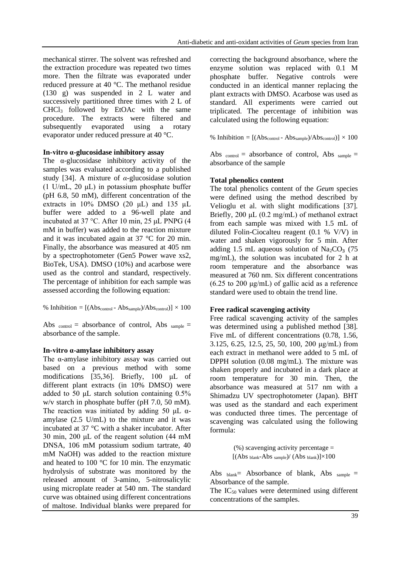mechanical stirrer. The solvent was refreshed and the extraction procedure was repeated two times more. Then the filtrate was evaporated under reduced pressure at 40 °C. The methanol residue (130 g) was suspended in 2 L water and successively partitioned three times with 2 L of CHCl<sup>3</sup> followed by EtOAc with the same procedure. The extracts were filtered and subsequently evaporated using a rotary evaporator under reduced pressure at 40 °C.

## **In-vitro α-glucosidase inhibitory assay**

The  $\alpha$ -glucosidase inhibitory activity of the samples was evaluated according to a published study [34]. A mixture of *α*-glucosidase solution (1 U/mL, 20  $\mu$ L) in potassium phosphate buffer (pH 6.8, 50 mM), different concentration of the extracts in 10% DMSO (20 μL) and 135 µL buffer were added to a 96-well plate and incubated at 37 °C. After 10 min, 25 μL PNPG (4 mM in buffer) was added to the reaction mixture and it was incubated again at 37 °C for 20 min. Finally, the absorbance was measured at 405 nm by a spectrophotometer (Gen5 Power wave xs2, BioTek, USA). DMSO (10%) and acarbose were used as the control and standard, respectively. The percentage of inhibition for each sample was assessed according the following equation:

% Inhibition =  $[(Abs_{control} - Abs_{sample})/Abs_{control}] \times 100$ 

Abs  $_{control}$  = absorbance of control, Abs  $_{sample}$  = absorbance of the sample.

#### **In-vitro α-amylase inhibitory assay**

The α-amylase inhibitory assay was carried out based on a previous method with some modifications [35,36]. Briefly, 100 μL of different plant extracts (in 10% DMSO) were added to 50 μL starch solution containing 0.5% w/v starch in phosphate buffer (pH 7.0, 50 mM). The reaction was initiated by adding 50  $\mu$ L  $\alpha$ amylase (2.5 U/mL) to the mixture and it was incubated at 37 °C with a shaker incubator. After 30 min, 200 μL of the reagent solution (44 mM DNSA, 106 mM potassium sodium tartrate, 40 mM NaOH) was added to the reaction mixture and heated to 100 °C for 10 min. The enzymatic hydrolysis of substrate was monitored by the released amount of 3-amino, 5-nitrosalicylic using microplate reader at 540 nm. The standard curve was obtained using different concentrations of maltose. Individual blanks were prepared for correcting the background absorbance, where the enzyme solution was replaced with 0.1 M phosphate buffer. Negative controls were conducted in an identical manner replacing the plant extracts with DMSO. Acarbose was used as standard. All experiments were carried out triplicated. The percentage of inhibition was calculated using the following equation:

% Inhibition =  $[(Abs_{control} - Abs_{sample})/Abs_{control}] \times 100$ 

Abs  $_{control}$  = absorbance of control, Abs  $_{sample}$  = absorbance of the sample

## **Total phenolics content**

The total phenolics content of the *Geum* species were defined using the method described by Velioglu et al. with slight modifications [37]. Briefly, 200 μL (0.2 mg/mL) of methanol extract from each sample was mixed with 1.5 mL of diluted Folin-Ciocalteu reagent (0.1 % V/V) in water and shaken vigorously for 5 min. After adding 1.5 mL aqueous solution of  $\text{Na}_2\text{CO}_3$  (75) mg/mL), the solution was incubated for 2 h at room temperature and the absorbance was measured at 760 nm. Six different concentrations (6.25 to 200 μg/mL) of gallic acid as a reference standard were used to obtain the trend line.

## **Free radical scavenging activity**

Free radical scavenging activity of the samples was determined using a published method [38]. Five mL of different concentrations (0.78, 1.56, 3.125, 6.25, 12.5, 25, 50, 100, 200 μg/mL) from each extract in methanol were added to 5 mL of DPPH solution (0.08 mg/mL). The mixture was shaken properly and incubated in a dark place at room temperature for 30 min. Then, the absorbance was measured at 517 nm with a Shimadzu UV spectrophotometer (Japan). BHT was used as the standard and each experiment was conducted three times. The percentage of scavenging was calculated using the following formula:

> $(\%)$  scavenging activity percentage  $=$  $[(Abs_{blank}-Abs_{sample})/(Abs_{blank})]\times100$

Abs  $_{\text{blank}}$  = Absorbance of blank, Abs  $_{\text{sample}}$  = Absorbance of the sample.

The  $IC_{50}$  values were determined using different concentrations of the samples.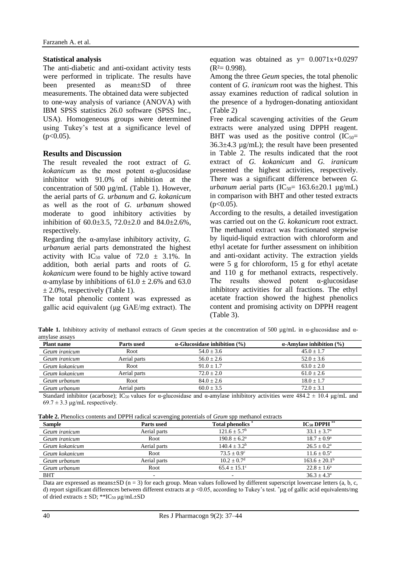#### **Statistical analysis**

The anti-diabetic and anti-oxidant activity tests were performed in triplicate. The results have been presented as mean±SD of three measurements. The obtained data were subjected to one-way analysis of variance (ANOVA) with IBM SPSS statistics 26.0 software (SPSS Inc., USA). Homogeneous groups were determined using Tukey's test at a significance level of  $(p<0.05)$ .

## **Results and Discussion**

The result revealed the root extract of *G. kokanicum* as the most potent α-glucosidase inhibitor with 91.0% of inhibition at the concentration of 500 µg/mL (Table 1). However, the aerial parts of *G. urbanum* and *G. kokanicum* as well as the root of *G. urbanum* showed moderate to good inhibitory activities by inhibition of  $60.0 \pm 3.5$ ,  $72.0 \pm 2.0$  and  $84.0 \pm 2.6$ %, respectively.

Regarding the α-amylase inhibitory activity, *G. urbanum* aerial parts demonstrated the highest activity with IC<sub>50</sub> value of 72.0  $\pm$  3.1%. In addition, both aerial parts and roots of *G. kokanicum* were found to be highly active toward α-amylase by inhibitions of  $61.0 \pm 2.6$ % and  $63.0$  $\pm$  2.0%, respectively (Table 1).

The total phenolic content was expressed as gallic acid equivalent (μg GAE/mg extract). The equation was obtained as  $y= 0.0071x+0.0297$  $(R<sup>2</sup>= 0.998)$ .

Among the three *Geum* species, the total phenolic content of *G. iranicum* root was the highest. This assay examines reduction of radical solution in the presence of a hydrogen-donating antioxidant (Table 2)

Free radical scavenging activities of the *Geum*  extracts were analyzed using DPPH reagent. BHT was used as the positive control  $(IC_{50} =$ 36.3±4.3 µg/mL); the result have been presented in Table 2. The results indicated that the root extract of *G. kokanicum* and *G. iranicum* presented the highest activities, respectively. There was a significant difference between *G. urbanum* aerial parts ( $IC_{50}$ = 163.6 $\pm$ 20.1  $\mu$ g/mL) in comparison with BHT and other tested extracts  $(p<0.05)$ .

According to the results, a detailed investigation was carried out on the *G. kokanicum* root extract. The methanol extract was fractionated stepwise by liquid-liquid extraction with chloroform and ethyl acetate for further assessment on inhibition and anti-oxidant activity. The extraction yields were 5 g for chloroform, 15 g for ethyl acetate and 110 g for methanol extracts, respectively. The results showed potent  $\alpha$ -glucosidase inhibitory activities for all fractions. The ethyl acetate fraction showed the highest phenolics content and promising activity on DPPH reagent (Table 3).

**Table 1.** Inhibitory activity of methanol extracts of *Geum* species at the concentration of 500 µg/mL in α-glucosidase and αamylase assays

| <b>Plant name</b> | Parts used   | $\alpha$ -Glucosidase inhibition (%) | $\alpha$ -Amylase inhibition (%) |
|-------------------|--------------|--------------------------------------|----------------------------------|
| Geum iranicum     | Root         | $54.0 \pm 3.6$                       | $45.0 + 1.7$                     |
| Geum iranicum     | Aerial parts | $56.0 + 2.6$                         | $52.0 + 3.6$                     |
| Geum kokanicum    | Root         | $91.0 + 1.7$                         | $63.0 + 2.0$                     |
| Geum kokanicum    | Aerial parts | $72.0 + 2.0$                         | $61.0 \pm 2.6$                   |
| Geum urbanum      | Root         | $84.0 \pm 2.6$                       | $18.0 + 1.7$                     |
| Geum urbanum      | Aerial parts | $60.0 + 3.5$                         | $72.0 + 3.1$                     |

Standard inhibitor (acarbose); IC<sub>50</sub> values for α-glucosidase and α-amylase inhibitory activities were  $484.2 \pm 10.4$  μg/mL and  $69.7 \pm 3.3$  µg/mL respectively.

| Table 2. Phenolics contents and DPPH radical scavenging potentials of Geum spp methanol extracts |
|--------------------------------------------------------------------------------------------------|
|--------------------------------------------------------------------------------------------------|

|                | .            |                        |                           |
|----------------|--------------|------------------------|---------------------------|
| <b>Sample</b>  | Parts used   | <b>Total phenolics</b> | $IC_{50}$ DPPH $**$       |
| Geum iranicum  | Aerial parts | $121.6 + 5.7b$         | $33.1 + 3.7^{\circ}$      |
| Geum iranicum  | Root         | $190.8 + 6.2^a$        | $18.7 + 0.9^a$            |
| Geum kokanicum | Aerial parts | $140.4 + 3.2b$         | $26.5 \pm 0.2^{\text{a}}$ |
| Geum kokanicum | Root         | $73.5 + 0.9^{\circ}$   | $11.6 + 0.5^{\text{a}}$   |
| Geum urbanum   | Aerial parts | $10.2 + 0.7d$          | $163.6 + 20.1b$           |
| Geum urbanum   | Root         | $65.4 + 15.1$ °        | $22.8 + 1.6^a$            |
| <b>BHT</b>     |              |                        | $36.3 + 4.3^{\circ}$      |

Data are expressed as means $\pm SD$  (n = 3) for each group. Mean values followed by different superscript lowercase letters (a, b, c, d) report significant differences between different extracts at p <0.05, according to Tukey's test. \*µg of gallic acid equivalents/mg of dried extracts ± SD; \*\*IC<sup>50</sup> μg/mL±SD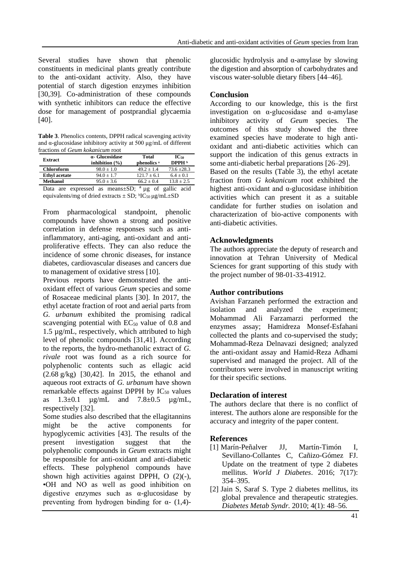Several studies have shown that phenolic constituents in medicinal plants greatly contribute to the anti-oxidant activity. Also, they have potential of starch digestion enzymes inhibition [30,39]. Co-administration of these compounds with synthetic inhibitors can reduce the effective dose for management of postprandial glycaemia [40].

**Table 3**. Phenolics contents, DPPH radical scavenging activity and α-glucosidase inhibitory activity at 500 μg/mL of different fractions of *Geum kokanicum* root

| Extract              | a- Glucosidase<br>inhibition $(\% )$                | Total<br>phenolics <sup>a</sup> | $IC_{50}$<br>DPPH <sub>b</sub> |
|----------------------|-----------------------------------------------------|---------------------------------|--------------------------------|
| <b>Chloroform</b>    | $98.0 \pm 1.0$                                      | $49.2 + 1.4$                    | $73.6 \pm 28.3$                |
| <b>Ethyl acetate</b> | $94.0 + 1.7$                                        | $121.7 + 6.1$                   | $6.4 \pm 0.1$                  |
| <b>Methanol</b>      | $95.0 + 3.6$                                        | $66.2 + 0.4$                    | $13.8 \pm 2.5$                 |
| Data                 | are expressed as means±SD; $a \mu g$ of gallic acid |                                 |                                |

equivalents/mg of dried extracts  $\pm$  SD;  ${}^{b}IC_{50} \mu g/mL \pm SD$ 

From pharmacological standpoint, phenolic compounds have shown a strong and positive correlation in defense responses such as antiinflammatory, anti-aging, anti-oxidant and antiproliferative effects. They can also reduce the incidence of some chronic diseases, for instance diabetes, cardiovascular diseases and cancers due to management of oxidative stress [10].

Previous reports have demonstrated the antioxidant effect of various *Geum* species and some of Rosaceae medicinal plants [30]. In 2017, the ethyl acetate fraction of root and aerial parts from *G. urbanum* exhibited the promising radical scavenging potential with  $EC_{50}$  value of 0.8 and 1.5 µg/mL, respectively, which attributed to high level of phenolic compounds [31,41]. According to the reports, the hydro-methanolic extract of *G. rivale* root was found as a rich source for polyphenolic contents such as ellagic acid (2.68 g/kg) [30,42]. In 2015, the ethanol and aqueous root extracts of *G. urbanum* have shown remarkable effects against DPPH by  $IC_{50}$  values as  $1.3 \pm 0.1$   $\mu$ g/mL and  $7.8 \pm 0.5$   $\mu$ g/mL, respectively [32].

Some studies also described that the ellagitannins might be the active components for hypoglycemic activities [43]. The results of the present investigation suggest that the polyphenolic compounds in *Geum* extracts might be responsible for anti-oxidant and anti-diabetic effects. These polyphenol compounds have shown high activities against DPPH, O (2)(-), •OH and NO as well as good inhibition on digestive enzymes such as  $\alpha$ -glucosidase by preventing from hydrogen binding for  $\alpha$ - (1,4)- glucosidic hydrolysis and  $\alpha$ -amylase by slowing the digestion and absorption of carbohydrates and viscous water-soluble dietary fibers [44–46].

## **Conclusion**

According to our knowledge, this is the first investigation on α-glucosidase and α-amylase inhibitory activity of *Geum* species. The outcomes of this study showed the three examined species have moderate to high antioxidant and anti-diabetic activities which can support the indication of this genus extracts in some anti-diabetic herbal preparations [26–29].

Based on the results (Table 3), the ethyl acetate fraction from *G kokanicum* root exhibited the highest anti-oxidant and α-glucosidase inhibition activities which can present it as a suitable candidate for further studies on isolation and characterization of bio-active components with anti-diabetic activities.

## **Acknowledgments**

The authors appreciate the deputy of research and innovation at Tehran University of Medical Sciences for grant supporting of this study with the project number of 98-01-33-41912.

## **Author contributions**

Avishan Farzaneh performed the extraction and isolation and analyzed the experiment; Mohammad Ali Farzamarzi performed the enzymes assay; Hamidreza Monsef-Esfahani collected the plants and co-supervised the study; Mohammad-Reza Delnavazi designed; analyzed the anti-oxidant assay and Hamid-Reza Adhami supervised and managed the project. All of the contributors were involved in manuscript writing for their specific sections.

# **Declaration of interest**

The authors declare that there is no conflict of interest. The authors alone are responsible for the accuracy and integrity of the paper content.

# **References**

- [1] Marín-Peñalver JJ, Martín-Timón I, Sevillano-Collantes C, Cañizo-Gómez FJ. Update on the treatment of type 2 diabetes mellitus. *World J Diabetes*. 2016; 7(17): 354–395.
- [2] Jain S, Saraf S. Type 2 diabetes mellitus, its global prevalence and therapeutic strategies. *Diabetes Metab Syndr.* 2010; 4(1): 48–56.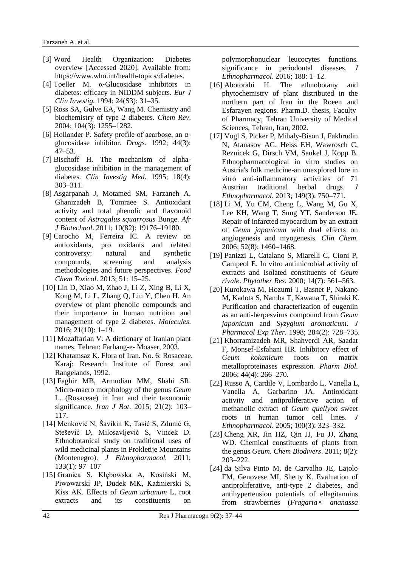- [3] Word Health Organization: Diabetes overview [Accessed 2020]. Available from: [https://www.who.int/health-topics/diabetes.](https://www.who.int/health-topics/diabetes)
- [4] Toeller M. α‐Glucosidase inhibitors in diabetes: efficacy in NIDDM subjects. *Eur J Clin Investig.* 1994; 24(S3): 31–35.
- [5] Ross SA, Gulve EA, Wang M. Chemistry and biochemistry of type 2 diabetes. *Chem Rev*. 2004; 104(3): 1255–1282.
- [6] Hollander P. Safety profile of acarbose, an αglucosidase inhibitor. *Drugs*. 1992; 44(3): 47–53.
- [7] Bischoff H. The mechanism of alphaglucosidase inhibition in the management of diabetes*. Clin Investig Med.* 1995; 18(4): 303–311.
- [8] Asgarpanah J, Motamed SM, Farzaneh A, Ghanizadeh B, Tomraee S. Antioxidant activity and total phenolic and flavonoid content of *Astragalus squarrosus* Bunge. *Afr J Biotechnol*. 2011; 10(82): 19176–19180.
- [9] Carocho M, Ferreira IC. A review on antioxidants, pro oxidants and related controversy: natural and synthetic compounds, screening and analysis methodologies and future perspectives. *Food Chem Toxicol*. 2013; 51: 15–25.
- [10] Lin D, Xiao M, Zhao J, Li Z, Xing B, Li X, Kong M, Li L, Zhang Q, Liu Y, Chen H. An overview of plant phenolic compounds and their importance in human nutrition and management of type 2 diabetes. *Molecules*. 2016; 21(10): 1–19.
- [11] Mozaffarian V. A dictionary of Iranian plant names. Tehran: Farhang-e- Moaser, 2003.
- [12] Khatamsaz K. Flora of Iran. No. 6: Rosaceae. Karaj: Research Institute of Forest and Rangelands, 1992.
- [13] Faghir MB, Armudian MM, Shahi SR. Micro-macro morphology of the genus *Geum* L. (Rosaceae) in Iran and their taxonomic significance. *Iran J Bot*. 2015; 21(2): 103– 117.
- [14] Menković N, Šavikin K, Tasić S, Zdunić G, Stešević D, Milosavljević S, Vincek D. Ethnobotanical study on traditional uses of wild medicinal plants in Prokletije Mountains (Montenegro). *J Ethnopharmacol.* 2011; 133(1): 97–107
- [15] Granica S, Kłębowska A, Kosiński M, Piwowarski JP, Dudek MK, Kaźmierski S, Kiss AK. Effects of *Geum urbanum* L. root extracts and its constituents on

polymorphonuclear leucocytes functions. significance in periodontal diseases. *J Ethnopharmacol*. 2016; 188: 1–12.

- [16] Abotorabi H. The ethnobotany and phytochemistry of plant distributed in the northern part of Iran in the Roeen and Esfarayen regions. Pharm.D. thesis, Faculty of Pharmacy, Tehran University of Medical Sciences, Tehran, Iran, 2002.
- [17] Vogl S, Picker P, Mihaly-Bison J, Fakhrudin N, Atanasov AG, Heiss EH, Wawrosch C, Reznicek G, Dirsch VM, Saukel J, Kopp B. Ethnopharmacological in vitro studies on Austria's folk medicine-an unexplored lore in vitro anti-inflammatory activities of 71 Austrian traditional herbal drugs. *J Ethnopharmacol*. 2013; 149(3): 750–771.
- [18] Li M, Yu CM, Cheng L, Wang M, Gu X, Lee KH, Wang T, Sung YT, Sanderson JE. Repair of infarcted myocardium by an extract of *Geum japonicum* with dual effects on angiogenesis and myogenesis. *Clin Chem*. 2006; 52(8): 1460–1468.
- [19] Panizzi L, Catalano S, Miarelli C, Cioni P, Campeol E. In vitro antimicrobial activity of extracts and isolated constituents of *Geum rivale*. *Phytother Res.* 2000; 14(7): 561–563.
- [20] Kurokawa M, Hozumi T, Basnet P, Nakano M, Kadota S, Namba T, Kawana T, Shiraki K. Purification and characterization of eugeniin as an anti-herpesvirus compound from *Geum japonicum* and *Syzygium aromaticum*. *J Pharmacol Exp Ther.* 1998; 284(2): 728–735.
- [21] Khorramizadeh MR, Shahverdi AR, Saadat F, Monsef-Esfahani HR. Inhibitory effect of *Geum kokanicum* roots on matrix metalloproteinases expression*. Pharm Biol*. 2006; 44(4): 266–270.
- [22] Russo A, Cardile V, Lombardo L, Vanella L, Vanella A, Garbarino JA. Antioxidant activity and antiproliferative action of methanolic extract of *Geum quellyon* sweet roots in human tumor cell lines. *J Ethnopharmacol*. 2005; 100(3): 323–332.
- [23] Cheng XR, Jin HZ, Qin JJ, Fu JJ, Zhang WD. Chemical constituents of plants from the genus *Geum*. *Chem Biodivers*. 2011; 8(2): 203–222.
- [24] da Silva Pinto M, de Carvalho JE, Lajolo FM, Genovese MI, Shetty K. Evaluation of antiproliferative, anti-type 2 diabetes, and antihypertension potentials of ellagitannins from strawberries (*Fragaria× ananassa*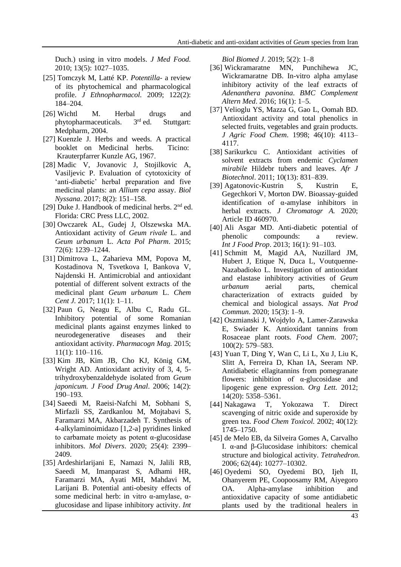Duch.) using in vitro models. *J Med Food.* 2010; 13(5): 1027–1035.

- [25] Tomczyk M, Latté KP. *Potentilla* a review of its phytochemical and pharmacological profile. *J Ethnopharmacol.* 2009; 122(2): 184–204.
- [26] Wichtl M. Herbal drugs and phytopharmaceuticals.  $3<sup>rd</sup>$  ed. Stuttgart: phytopharmaceuticals. 3 Stuttgart: Medpharm, 2004.
- [27] Kuenzle J. Herbs and weeds. A practical booklet on Medicinal herbs. Ticino: Krauterpfarrer Kunzle AG, 1967.
- [28] Madic V, Jovanovic J, Stojilkovic A, Vasiljevic P. Evaluation of cytotoxicity of 'anti-diabetic' herbal preparation and five medicinal plants: an *Allium cepa* assay. *Biol Nyssana*. 2017; 8(2): 151–158.
- [29] Duke J. Handbook of medicinal herbs. 2<sup>nd</sup> ed. Florida: CRC Press LLC, 2002.
- [30] Owczarek AL, Gudej J, Olszewska MA. Antioxidant activity of *Geum rivale* L. and *Geum urbanum* L. *Acta Pol Pharm*. 2015; 72(6): 1239–1244.
- [31] Dimitrova L, Zaharieva MM, Popova M, Kostadinova N, Tsvetkova I, Bankova V, Najdenski H. Antimicrobial and antioxidant potential of different solvent extracts of the medicinal plant *Geum urbanum* L. *Chem Cent J.* 2017; 11(1): 1–11.
- [32] Paun G, Neagu E, Albu C, Radu GL. Inhibitory potential of some Romanian medicinal plants against enzymes linked to neurodegenerative diseases and their antioxidant activity*. Pharmacogn Mag.* 2015; 11(1): 110–116.
- [33] Kim JB, Kim JB, Cho KJ, König GM, Wright AD. Antioxidant activity of 3, 4, 5 trihydroxybenzaldehyde isolated from *Geum japonicum. J Food Drug Anal*. 2006; 14(2): 190–193.
- [34] Saeedi M, Raeisi-Nafchi M, Sobhani S, Mirfazli SS, Zardkanlou M, Mojtabavi S, Faramarzi MA, Akbarzadeh T. Synthesis of 4-alkylaminoimidazo [1,2-a] pyridines linked to carbamate moiety as potent α-glucosidase inhibitors. *Mol Divers*. 2020; 25(4): 2399– 2409.
- [35] Ardeshirlarijani E, Namazi N, Jalili RB, Saeedi M, Imanparast S, Adhami HR, Faramarzi MA, Ayati MH, Mahdavi M, Larijani B. Potential anti-obesity effects of some medicinal herb: in vitro α-amylase, αglucosidase and lipase inhibitory activity. *Int*

*Biol Biomed J*. 2019; 5(2): 1–8

- [36] Wickramaratne MN, Punchihewa JC, Wickramaratne DB. In-vitro alpha amylase inhibitory activity of the leaf extracts of *Adenanthera pavonina*. *BMC Complement Altern Med*. 2016; 16(1): 1–5.
- [37] Velioglu YS, Mazza G, Gao L, Oomah BD. Antioxidant activity and total phenolics in selected fruits, vegetables and grain products. *J Agric Food Chem*. 1998; 46(10): 4113– 4117.
- [38] Sarikurkcu C. Antioxidant activities of solvent extracts from endemic *Cyclamen mirabile* Hildebr tubers and leaves. *Afr J Biotechnol*. 2011; 10(13): 831–839.
- [39] Agatonovic-Kustrin S, Kustrin E, Gegechkori V, Morton DW. Bioassay-guided identification of α-amylase inhibitors in herbal extracts. *J Chromatogr A.* 2020; Article ID 460970.
- [40] Ali Asgar MD. Anti-diabetic potential of phenolic compounds: a review. *Int J Food Prop*. 2013; 16(1): 91–103.
- [41] Schmitt M, Magid AA, Nuzillard JM, Hubert J, Etique N, Duca L, Voutquenne-Nazabadioko L. Investigation of antioxidant and elastase inhibitory activities of *Geum urbanum* aerial parts, chemical characterization of extracts guided by chemical and biological assays. *Nat Prod Commun*. 2020; 15(3): 1–9.
- [42] Oszmianski J, Wojdylo A, Lamer-Zarawska E, Swiader K. Antioxidant tannins from Rosaceae plant roots. *Food Chem*. 2007; 100(2): 579–583.
- [43] Yuan T, Ding Y, Wan C, Li L, Xu J, Liu K, Slitt A, Ferreira D, Khan IA, Seeram NP. Antidiabetic ellagitannins from pomegranate flowers: inhibition of α-glucosidase and lipogenic gene expression. *Org Lett.* 2012; 14(20): 5358–5361.
- [44] Nakagawa T, Yokozawa T. Direct scavenging of nitric oxide and superoxide by green tea. *Food Chem Toxicol.* 2002; 40(12): 1745–1750.
- [45] de Melo EB, da Silveira Gomes A, Carvalho I. α-and β-Glucosidase inhibitors: chemical structure and biological activity. *Tetrahedron*. 2006; 62(44): 10277–10302.
- [46] Oyedemi SO, Oyedemi BO, Ijeh II, Ohanyerem PE, Coopoosamy RM, Aiyegoro OA. Alpha-amylase inhibition and antioxidative capacity of some antidiabetic plants used by the traditional healers in